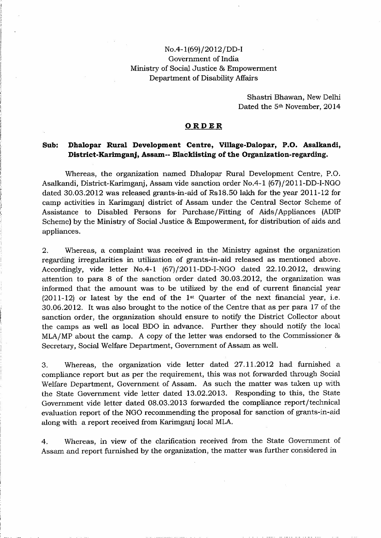## No.4-1(69)/2012/DD-I Government of India Ministry of Social Justice & Empowerment Department of Disability Affairs

Shastri Bhawan, New Delhi Dated the 5<sup>th</sup> November, 2014

## **ORDER**

## **Sub: Dhalopar Rural Development Centre, Village-Dalopar, P.O. Asalkandi, District-Karimganj, Assam-- Blacklisting of the Organization-regarding.**

Whereas, the organization named Dhalopar Rural Development Centre, P.O. Asalkandi, District-Karimganj, Assam vide sanction order No.4-1 (67)/2011-DD-I-NGO dated 30.03.2012 was released grants-in-aid of Rs18.50 lakh for the year 2011-12 for camp activities in Karimganj district of Assam under the Central Sector Scheme of Assistance to Disabled Persons for Purchase/Fitting of Aids/ Appliances (ADIP Scheme) by the Ministry of Social Justice & Empowerment, for distribution of aids and appliances.

2. Whereas, a complaint was received in the Ministry against the organization regarding irregularities in utilization of grants-in-aid released as mentioned above. Accordingly, vide letter No.4-1 (67)/2011-DD-I-NGO dated 22.10.2012, drawing attention to para 8 of the sanction order dated 30.03.2012, the organization was informed that the amount was to be utilized by the end of current financial year  $(2011-12)$  or latest by the end of the 1<sup>st</sup> Quarter of the next financial year, i.e. 30.06.2012. It was also brought to the notice of the Centre that as per para 17 of the sanction order, the organization should ensure to notify the District Collector about the camps as well as local BDO in advance. Further they· should notify the local MLA/MP about the camp. A copy of the letter was endorsed to the Commissioner & Secretary, Social Welfare Department, Government of Assam as well.

3. Whereas, the organization vide letter dated 27.11.2012 had furnished a compliance report but as per the requirement, this was not forwarded through Social Welfare Department, Government of Assam. As such the matter was taken up with the State Government vide letter dated 13.02.2013. Responding to this, the State Government vide letter dated 08.03.2013 forwarded the compliance report/technical evaluation report of the NGO recommending the proposal for sanction of grants-in-aid along with a report received from Karimganj local MLA.

4. Whereas, in view of the clarification received from the State Government of Assam and report furnished by the organization, the matter was further considered in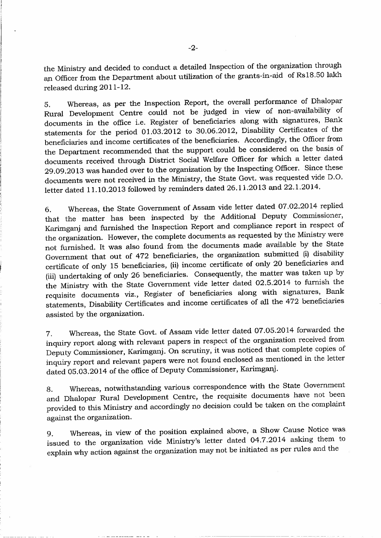the Ministry and decided to conduct a detailed Inspection of the organization through an Officer from the Department about utilization of the grants-in-aid of Rs18.50 lakh released during 2011-12.

5. Whereas, as per the Inspection Report, the overall performance of Dhalopar Rural Development Centre could not be judged in view of non-availability of documents in the office i.e. Register of beneficiaries along with signatures, Bank statements for the period 01.03.2012 to 30.06.2012, Disability Certificates of the beneficiaries and income certificates of the beneficiaries. Accordingly, the Officer from the Department recommended that the support could be considered on the basis of documents received through District Social Welfare Officer for which a letter dated 29.09.2013 was handed over to the organization by the Inspecting Officer. Since these documents were not received in the Ministry, the State Govt. was requested vide D.O. letter dated 11.10.2013 followed by reminders dated 26.11.2013 and 22.1.2014.

6. Whereas, the State Government of Assam vide letter dated 07.02.2014 replied that the matter has been inspected by the Additional Deputy Commissioner, Karimganj and furnished the Inspection Report and compliance report in respect of the organization. However, the complete documents as requested by the Ministry were not furnished. It was also found from the documents made available by the State Government that out of 472 beneficiaries, the organization submitted (i) disability certificate of only 15 beneficiaries, (ii) income certificate of only 20 beneficiaries and (iii) undertaking of only 26 beneficiaries. Consequently, the matter was taken up by the Ministry with the State Government vide letter dated 02.5.2014 to furnish the requisite documents viz., Register of beneficiaries along with signatures, Bank statements, Disability Certificates and income certificates of all the 472 beneficiaries assisted by the organization.

7. Whereas, the State Govt. of Assam vide letter dated 07.05.2014 forwarded the inquiry report along with relevant papers in respect of the organization received from Deputy Commissioner, Karimganj. On scrutiny, it was noticed that complete copies of inquiry report and relevant papers were not found enclosed as mentioned in the letter dated 05. 03.2014 of the office of Deputy Commissioner, Karimganj.

8. Whereas, notwithstanding various correspondence with the State Government and Dhalopar Rural Development Centre, the requisite documents have not been provided to this Ministry and accordingly no decision could be taken on the complaint against the organization.

9. Whereas, in view of the position explained above, a Show Cause Notice was issued to the organization vide Ministry's letter dated 04.7.2014 asking them to explain why action against the organization may not be initiated as per rules and the